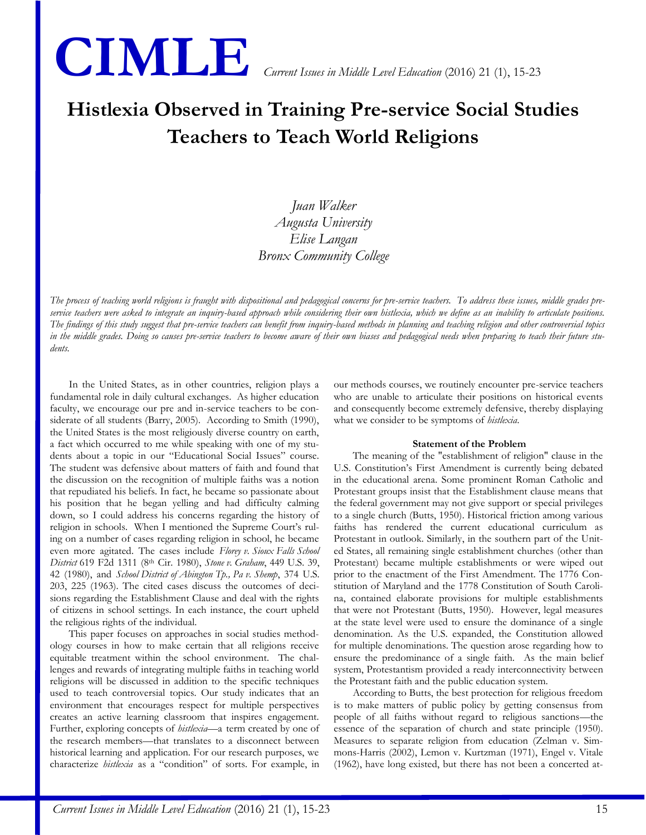

# **Histlexia Observed in Training Pre-service Social Studies Teachers to Teach World Religions**

*Juan Walker Augusta University Elise Langan Bronx Community College*

*The process of teaching world religions is fraught with dispositional and pedagogical concerns for pre-service teachers. To address these issues, middle grades preservice teachers were asked to integrate an inquiry-based approach while considering their own histlexia, which we define as an inability to articulate positions. The findings of this study suggest that pre-service teachers can benefit from inquiry-based methods in planning and teaching religion and other controversial topics in the middle grades. Doing so causes pre-service teachers to become aware of their own biases and pedagogical needs when preparing to teach their future students.* 

In the United States, as in other countries, religion plays a fundamental role in daily cultural exchanges. As higher education faculty, we encourage our pre and in-service teachers to be considerate of all students (Barry, 2005). According to Smith (1990), the United States is the most religiously diverse country on earth, a fact which occurred to me while speaking with one of my students about a topic in our "Educational Social Issues" course. The student was defensive about matters of faith and found that the discussion on the recognition of multiple faiths was a notion that repudiated his beliefs. In fact, he became so passionate about his position that he began yelling and had difficulty calming down, so I could address his concerns regarding the history of religion in schools. When I mentioned the Supreme Court's ruling on a number of cases regarding religion in school, he became even more agitated. The cases include *Florey v. Sioux Falls School District* 619 F2d 1311 (8th Cir. 1980), *Stone v. Graham*, 449 U.S. 39, 42 (1980), and *School District of Abington Tp., Pa v. Shemp*, 374 U.S. 203, 225 (1963). The cited cases discuss the outcomes of decisions regarding the Establishment Clause and deal with the rights of citizens in school settings. In each instance, the court upheld the religious rights of the individual.

This paper focuses on approaches in social studies methodology courses in how to make certain that all religions receive equitable treatment within the school environment. The challenges and rewards of integrating multiple faiths in teaching world religions will be discussed in addition to the specific techniques used to teach controversial topics. Our study indicates that an environment that encourages respect for multiple perspectives creates an active learning classroom that inspires engagement. Further, exploring concepts of *histlexia*—a term created by one of the research members—that translates to a disconnect between historical learning and application. For our research purposes, we characterize *histlexia* as a "condition" of sorts. For example, in our methods courses, we routinely encounter pre-service teachers who are unable to articulate their positions on historical events and consequently become extremely defensive, thereby displaying what we consider to be symptoms of *histlexia*.

#### **Statement of the Problem**

The meaning of the "establishment of religion" clause in the U.S. Constitution's First Amendment is currently being debated in the educational arena. Some prominent Roman Catholic and Protestant groups insist that the Establishment clause means that the federal government may not give support or special privileges to a single church (Butts, 1950). Historical friction among various faiths has rendered the current educational curriculum as Protestant in outlook. Similarly, in the southern part of the United States, all remaining single establishment churches (other than Protestant) became multiple establishments or were wiped out prior to the enactment of the First Amendment. The 1776 Constitution of Maryland and the 1778 Constitution of South Carolina, contained elaborate provisions for multiple establishments that were not Protestant (Butts, 1950). However, legal measures at the state level were used to ensure the dominance of a single denomination. As the U.S. expanded, the Constitution allowed for multiple denominations. The question arose regarding how to ensure the predominance of a single faith. As the main belief system, Protestantism provided a ready interconnectivity between the Protestant faith and the public education system.

According to Butts, the best protection for religious freedom is to make matters of public policy by getting consensus from people of all faiths without regard to religious sanctions—the essence of the separation of church and state principle (1950). Measures to separate religion from education (Zelman v. Simmons-Harris (2002), Lemon v. Kurtzman (1971), Engel v. Vitale (1962), have long existed, but there has not been a concerted at-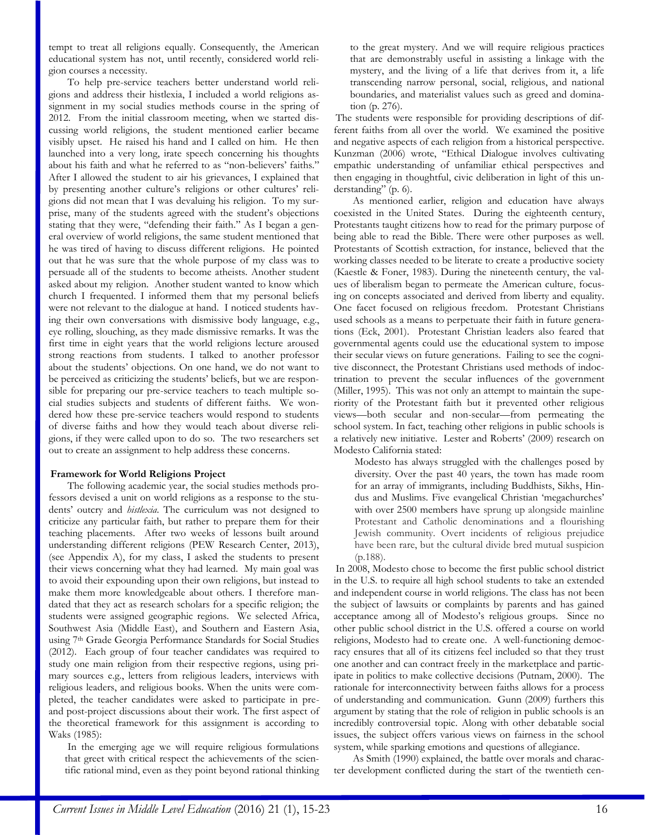tempt to treat all religions equally. Consequently, the American educational system has not, until recently, considered world religion courses a necessity.

To help pre-service teachers better understand world religions and address their histlexia, I included a world religions assignment in my social studies methods course in the spring of 2012. From the initial classroom meeting, when we started discussing world religions, the student mentioned earlier became visibly upset. He raised his hand and I called on him. He then launched into a very long, irate speech concerning his thoughts about his faith and what he referred to as "non-believers' faiths." After I allowed the student to air his grievances, I explained that by presenting another culture's religions or other cultures' religions did not mean that I was devaluing his religion. To my surprise, many of the students agreed with the student's objections stating that they were, "defending their faith." As I began a general overview of world religions, the same student mentioned that he was tired of having to discuss different religions. He pointed out that he was sure that the whole purpose of my class was to persuade all of the students to become atheists. Another student asked about my religion. Another student wanted to know which church I frequented. I informed them that my personal beliefs were not relevant to the dialogue at hand. I noticed students having their own conversations with dismissive body language, e.g., eye rolling, slouching, as they made dismissive remarks. It was the first time in eight years that the world religions lecture aroused strong reactions from students. I talked to another professor about the students' objections. On one hand, we do not want to be perceived as criticizing the students' beliefs, but we are responsible for preparing our pre-service teachers to teach multiple social studies subjects and students of different faiths. We wondered how these pre-service teachers would respond to students of diverse faiths and how they would teach about diverse religions, if they were called upon to do so. The two researchers set out to create an assignment to help address these concerns.

# **Framework for World Religions Project**

The following academic year, the social studies methods professors devised a unit on world religions as a response to the students' outcry and *histlexia*. The curriculum was not designed to criticize any particular faith, but rather to prepare them for their teaching placements. After two weeks of lessons built around understanding different religions (PEW Research Center, 2013), (see Appendix A), for my class, I asked the students to present their views concerning what they had learned. My main goal was to avoid their expounding upon their own religions, but instead to make them more knowledgeable about others. I therefore mandated that they act as research scholars for a specific religion; the students were assigned geographic regions. We selected Africa, Southwest Asia (Middle East), and Southern and Eastern Asia, using 7th Grade Georgia Performance Standards for Social Studies (2012). Each group of four teacher candidates was required to study one main religion from their respective regions, using primary sources e.g., letters from religious leaders, interviews with religious leaders, and religious books. When the units were completed, the teacher candidates were asked to participate in preand post-project discussions about their work. The first aspect of the theoretical framework for this assignment is according to Waks (1985):

In the emerging age we will require religious formulations that greet with critical respect the achievements of the scientific rational mind, even as they point beyond rational thinking

to the great mystery. And we will require religious practices that are demonstrably useful in assisting a linkage with the mystery, and the living of a life that derives from it, a life transcending narrow personal, social, religious, and national boundaries, and materialist values such as greed and domination (p. 276).

The students were responsible for providing descriptions of different faiths from all over the world. We examined the positive and negative aspects of each religion from a historical perspective. Kunzman (2006) wrote, "Ethical Dialogue involves cultivating empathic understanding of unfamiliar ethical perspectives and then engaging in thoughtful, civic deliberation in light of this understanding" (p. 6).

As mentioned earlier, religion and education have always coexisted in the United States. During the eighteenth century, Protestants taught citizens how to read for the primary purpose of being able to read the Bible. There were other purposes as well. Protestants of Scottish extraction, for instance, believed that the working classes needed to be literate to create a productive society (Kaestle & Foner, 1983). During the nineteenth century, the values of liberalism began to permeate the American culture, focusing on concepts associated and derived from liberty and equality. One facet focused on religious freedom. Protestant Christians used schools as a means to perpetuate their faith in future generations (Eck, 2001). Protestant Christian leaders also feared that governmental agents could use the educational system to impose their secular views on future generations. Failing to see the cognitive disconnect, the Protestant Christians used methods of indoctrination to prevent the secular influences of the government (Miller, 1995). This was not only an attempt to maintain the superiority of the Protestant faith but it prevented other religious views—both secular and non-secular—from permeating the school system. In fact, teaching other religions in public schools is a relatively new initiative. Lester and Roberts' (2009) research on Modesto California stated:

Modesto has always struggled with the challenges posed by diversity. Over the past 40 years, the town has made room for an array of immigrants, including Buddhists, Sikhs, Hindus and Muslims. Five evangelical Christian 'megachurches' with over 2500 members have sprung up alongside mainline Protestant and Catholic denominations and a flourishing Jewish community. Overt incidents of religious prejudice have been rare, but the cultural divide bred mutual suspicion (p.188).

In 2008, Modesto chose to become the first public school district in the U.S. to require all high school students to take an extended and independent course in world religions. The class has not been the subject of lawsuits or complaints by parents and has gained acceptance among all of Modesto's religious groups. Since no other public school district in the U.S. offered a course on world religions, Modesto had to create one. A well-functioning democracy ensures that all of its citizens feel included so that they trust one another and can contract freely in the marketplace and participate in politics to make collective decisions (Putnam, 2000). The rationale for interconnectivity between faiths allows for a process of understanding and communication. Gunn (2009) furthers this argument by stating that the role of religion in public schools is an incredibly controversial topic. Along with other debatable social issues, the subject offers various views on fairness in the school system, while sparking emotions and questions of allegiance.

As Smith (1990) explained, the battle over morals and character development conflicted during the start of the twentieth cen-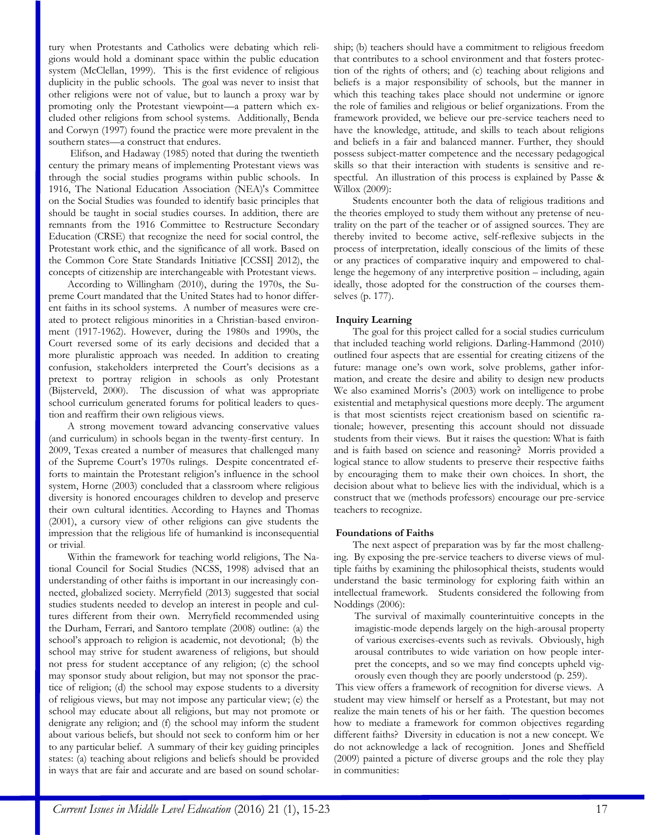tury when Protestants and Catholics were debating which religions would hold a dominant space within the public education system (McClellan, 1999). This is the first evidence of religious duplicity in the public schools. The goal was never to insist that other religions were not of value, but to launch a proxy war by promoting only the Protestant viewpoint—a pattern which excluded other religions from school systems. Additionally, Benda and Corwyn (1997) found the practice were more prevalent in the southern states—a construct that endures.

Elifson, and Hadaway (1985) noted that during the twentieth century the primary means of implementing Protestant views was through the social studies programs within public schools. In 1916, The National Education Association (NEA)'s Committee on the Social Studies was founded to identify basic principles that should be taught in social studies courses. In addition, there are remnants from the 1916 Committee to Restructure Secondary Education (CRSE) that recognize the need for social control, the Protestant work ethic, and the significance of all work. Based on the Common Core State Standards Initiative [CCSSI] 2012), the concepts of citizenship are interchangeable with Protestant views.

According to Willingham (2010), during the 1970s, the Supreme Court mandated that the United States had to honor different faiths in its school systems. A number of measures were created to protect religious minorities in a Christian-based environment (1917-1962). However, during the 1980s and 1990s, the Court reversed some of its early decisions and decided that a more pluralistic approach was needed. In addition to creating confusion, stakeholders interpreted the Court's decisions as a pretext to portray religion in schools as only Protestant (Bijsterveld, 2000). The discussion of what was appropriate school curriculum generated forums for political leaders to question and reaffirm their own religious views.

A strong movement toward advancing conservative values (and curriculum) in schools began in the twenty-first century. In 2009, Texas created a number of measures that challenged many of the Supreme Court's 1970s rulings. Despite concentrated efforts to maintain the Protestant religion's influence in the school system, Horne (2003) concluded that a classroom where religious diversity is honored encourages children to develop and preserve their own cultural identities*.* According to Haynes and Thomas (2001), a cursory view of other religions can give students the impression that the religious life of humankind is inconsequential or trivial.

Within the framework for teaching world religions, The National Council for Social Studies (NCSS, 1998) advised that an understanding of other faiths is important in our increasingly connected, globalized society. Merryfield (2013) suggested that social studies students needed to develop an interest in people and cultures different from their own. Merryfield recommended using the Durham, Ferrari, and Santoro template (2008) outline: (a) the school's approach to religion is academic, not devotional; (b) the school may strive for student awareness of religions, but should not press for student acceptance of any religion; (c) the school may sponsor study about religion, but may not sponsor the practice of religion; (d) the school may expose students to a diversity of religious views, but may not impose any particular view; (e) the school may educate about all religions, but may not promote or denigrate any religion; and (f) the school may inform the student about various beliefs, but should not seek to conform him or her to any particular belief. A summary of their key guiding principles states: (a) teaching about religions and beliefs should be provided in ways that are fair and accurate and are based on sound scholarship; (b) teachers should have a commitment to religious freedom that contributes to a school environment and that fosters protection of the rights of others; and (c) teaching about religions and beliefs is a major responsibility of schools, but the manner in which this teaching takes place should not undermine or ignore the role of families and religious or belief organizations. From the framework provided, we believe our pre-service teachers need to have the knowledge, attitude, and skills to teach about religions and beliefs in a fair and balanced manner. Further, they should possess subject-matter competence and the necessary pedagogical skills so that their interaction with students is sensitive and respectful. An illustration of this process is explained by Passe & Willox (2009):

Students encounter both the data of religious traditions and the theories employed to study them without any pretense of neutrality on the part of the teacher or of assigned sources. They are thereby invited to become active, self-reflexive subjects in the process of interpretation, ideally conscious of the limits of these or any practices of comparative inquiry and empowered to challenge the hegemony of any interpretive position – including, again ideally, those adopted for the construction of the courses themselves (p. 177).

# **Inquiry Learning**

The goal for this project called for a social studies curriculum that included teaching world religions. Darling-Hammond (2010) outlined four aspects that are essential for creating citizens of the future: manage one's own work, solve problems, gather information, and create the desire and ability to design new products We also examined Morris's (2003) work on intelligence to probe existential and metaphysical questions more deeply. The argument is that most scientists reject creationism based on scientific rationale; however, presenting this account should not dissuade students from their views. But it raises the question: What is faith and is faith based on science and reasoning? Morris provided a logical stance to allow students to preserve their respective faiths by encouraging them to make their own choices. In short, the decision about what to believe lies with the individual, which is a construct that we (methods professors) encourage our pre-service teachers to recognize.

#### **Foundations of Faiths**

The next aspect of preparation was by far the most challenging. By exposing the pre-service teachers to diverse views of multiple faiths by examining the philosophical theists, students would understand the basic terminology for exploring faith within an intellectual framework. Students considered the following from Noddings (2006):

The survival of maximally counterintuitive concepts in the imagistic-mode depends largely on the high-arousal property of various exercises-events such as revivals. Obviously, high arousal contributes to wide variation on how people interpret the concepts, and so we may find concepts upheld vigorously even though they are poorly understood (p. 259).

This view offers a framework of recognition for diverse views. A student may view himself or herself as a Protestant, but may not realize the main tenets of his or her faith. The question becomes how to mediate a framework for common objectives regarding different faiths? Diversity in education is not a new concept. We do not acknowledge a lack of recognition. Jones and Sheffield (2009) painted a picture of diverse groups and the role they play in communities: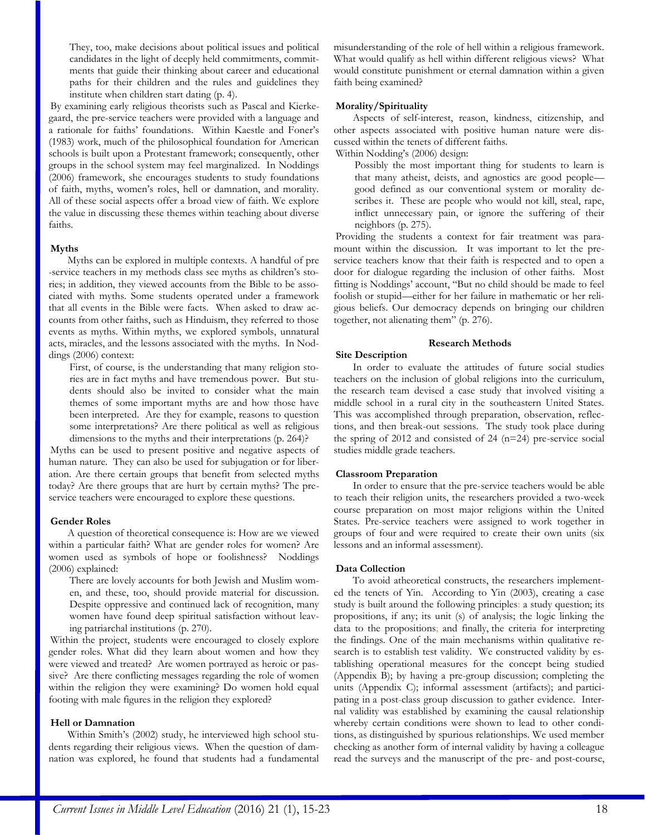They, too, make decisions about political issues and political candidates in the light of deeply held commitments, commitments that guide their thinking about career and educational paths for their children and the rules and guidelines they institute when children start dating (p. 4).

By examining early religious theorists such as Pascal and Kierkegaard, the pre-service teachers were provided with a language and a rationale for faiths' foundations. Within Kaestle and Foner's (1983) work, much of the philosophical foundation for American schools is built upon a Protestant framework; consequently, other groups in the school system may feel marginalized. In Noddings (2006) framework, she encourages students to study foundations of faith, myths, women's roles, hell or damnation, and morality. All of these social aspects offer a broad view of faith. We explore the value in discussing these themes within teaching about diverse faiths.

## **Myths**

Myths can be explored in multiple contexts. A handful of pre -service teachers in my methods class see myths as children's stories; in addition, they viewed accounts from the Bible to be associated with myths. Some students operated under a framework that all events in the Bible were facts. When asked to draw accounts from other faiths, such as Hinduism, they referred to those events as myths. Within myths, we explored symbols, unnatural acts, miracles, and the lessons associated with the myths. In Noddings (2006) context:

First, of course, is the understanding that many religion stories are in fact myths and have tremendous power. But students should also be invited to consider what the main themes of some important myths are and how those have been interpreted. Are they for example, reasons to question some interpretations? Are there political as well as religious dimensions to the myths and their interpretations (p. 264)?

Myths can be used to present positive and negative aspects of human nature. They can also be used for subjugation or for liberation. Are there certain groups that benefit from selected myths today? Are there groups that are hurt by certain myths? The preservice teachers were encouraged to explore these questions.

# **Gender Roles**

A question of theoretical consequence is: How are we viewed within a particular faith? What are gender roles for women? Are women used as symbols of hope or foolishness? Noddings (2006) explained:

There are lovely accounts for both Jewish and Muslim women, and these, too, should provide material for discussion. Despite oppressive and continued lack of recognition, many women have found deep spiritual satisfaction without leaving patriarchal institutions (p. 270).

Within the project, students were encouraged to closely explore gender roles. What did they learn about women and how they were viewed and treated? Are women portrayed as heroic or passive? Are there conflicting messages regarding the role of women within the religion they were examining? Do women hold equal footing with male figures in the religion they explored?

# **Hell or Damnation**

Within Smith's (2002) study, he interviewed high school students regarding their religious views. When the question of damnation was explored, he found that students had a fundamental misunderstanding of the role of hell within a religious framework. What would qualify as hell within different religious views? What would constitute punishment or eternal damnation within a given faith being examined?

## **Morality/Spirituality**

Aspects of self-interest, reason, kindness, citizenship, and other aspects associated with positive human nature were discussed within the tenets of different faiths.

Within Nodding's (2006) design:

Possibly the most important thing for students to learn is that many atheist, deists, and agnostics are good people good defined as our conventional system or morality describes it. These are people who would not kill, steal, rape, inflict unnecessary pain, or ignore the suffering of their neighbors (p. 275).

Providing the students a context for fair treatment was paramount within the discussion. It was important to let the preservice teachers know that their faith is respected and to open a door for dialogue regarding the inclusion of other faiths. Most fitting is Noddings' account, "But no child should be made to feel foolish or stupid—either for her failure in mathematic or her religious beliefs. Our democracy depends on bringing our children together, not alienating them" (p. 276).

## **Research Methods**

# **Site Description**

In order to evaluate the attitudes of future social studies teachers on the inclusion of global religions into the curriculum, the research team devised a case study that involved visiting a middle school in a rural city in the southeastern United States. This was accomplished through preparation, observation, reflections, and then break-out sessions. The study took place during the spring of 2012 and consisted of 24 (n=24) pre-service social studies middle grade teachers.

#### **Classroom Preparation**

In order to ensure that the pre-service teachers would be able to teach their religion units, the researchers provided a two-week course preparation on most major religions within the United States. Pre-service teachers were assigned to work together in groups of four and were required to create their own units (six lessons and an informal assessment).

## **Data Collection**

To avoid atheoretical constructs, the researchers implemented the tenets of Yin. According to Yin (2003), creating a case study is built around the following principles: a study question; its propositions, if any; its unit (s) of analysis; the logic linking the data to the propositions; and finally, the criteria for interpreting the findings. One of the main mechanisms within qualitative research is to establish test validity. We constructed validity by establishing operational measures for the concept being studied (Appendix B); by having a pre-group discussion; completing the units (Appendix C); informal assessment (artifacts); and participating in a post-class group discussion to gather evidence. Internal validity was established by examining the causal relationship whereby certain conditions were shown to lead to other conditions, as distinguished by spurious relationships. We used member checking as another form of internal validity by having a colleague read the surveys and the manuscript of the pre- and post-course,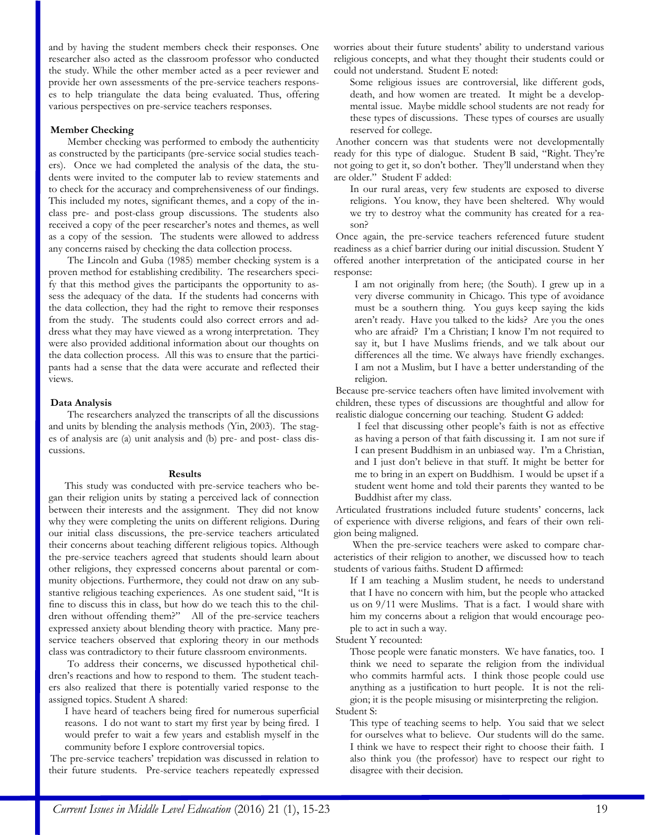and by having the student members check their responses. One researcher also acted as the classroom professor who conducted the study. While the other member acted as a peer reviewer and provide her own assessments of the pre-service teachers responses to help triangulate the data being evaluated. Thus, offering various perspectives on pre-service teachers responses.

## **Member Checking**

Member checking was performed to embody the authenticity as constructed by the participants (pre-service social studies teachers). Once we had completed the analysis of the data, the students were invited to the computer lab to review statements and to check for the accuracy and comprehensiveness of our findings. This included my notes, significant themes, and a copy of the inclass pre- and post-class group discussions. The students also received a copy of the peer researcher's notes and themes, as well as a copy of the session. The students were allowed to address any concerns raised by checking the data collection process.

The Lincoln and Guba (1985) member checking system is a proven method for establishing credibility. The researchers specify that this method gives the participants the opportunity to assess the adequacy of the data. If the students had concerns with the data collection, they had the right to remove their responses from the study. The students could also correct errors and address what they may have viewed as a wrong interpretation. They were also provided additional information about our thoughts on the data collection process. All this was to ensure that the participants had a sense that the data were accurate and reflected their views.

#### **Data Analysis**

The researchers analyzed the transcripts of all the discussions and units by blending the analysis methods (Yin, 2003). The stages of analysis are (a) unit analysis and (b) pre- and post- class discussions.

#### **Results**

This study was conducted with pre-service teachers who began their religion units by stating a perceived lack of connection between their interests and the assignment. They did not know why they were completing the units on different religions. During our initial class discussions, the pre-service teachers articulated their concerns about teaching different religious topics. Although the pre-service teachers agreed that students should learn about other religions, they expressed concerns about parental or community objections. Furthermore, they could not draw on any substantive religious teaching experiences. As one student said, "It is fine to discuss this in class, but how do we teach this to the children without offending them?" All of the pre-service teachers expressed anxiety about blending theory with practice. Many preservice teachers observed that exploring theory in our methods class was contradictory to their future classroom environments.

To address their concerns, we discussed hypothetical children's reactions and how to respond to them. The student teachers also realized that there is potentially varied response to the assigned topics. Student A shared:

I have heard of teachers being fired for numerous superficial reasons. I do not want to start my first year by being fired. I would prefer to wait a few years and establish myself in the community before I explore controversial topics.

The pre-service teachers' trepidation was discussed in relation to their future students. Pre-service teachers repeatedly expressed worries about their future students' ability to understand various religious concepts, and what they thought their students could or could not understand. Student E noted:

Some religious issues are controversial, like different gods, death, and how women are treated. It might be a developmental issue. Maybe middle school students are not ready for these types of discussions. These types of courses are usually reserved for college.

Another concern was that students were not developmentally ready for this type of dialogue. Student B said, "Right. They're not going to get it, so don't bother. They'll understand when they are older." Student F added:

In our rural areas, very few students are exposed to diverse religions. You know, they have been sheltered. Why would we try to destroy what the community has created for a reason?

Once again, the pre-service teachers referenced future student readiness as a chief barrier during our initial discussion. Student Y offered another interpretation of the anticipated course in her response:

I am not originally from here; (the South)*.* I grew up in a very diverse community in Chicago. This type of avoidance must be a southern thing. You guys keep saying the kids aren't ready. Have you talked to the kids? Are you the ones who are afraid? I'm a Christian; I know I'm not required to say it, but I have Muslims friends, and we talk about our differences all the time. We always have friendly exchanges. I am not a Muslim, but I have a better understanding of the religion.

Because pre-service teachers often have limited involvement with children, these types of discussions are thoughtful and allow for realistic dialogue concerning our teaching. Student G added:

I feel that discussing other people's faith is not as effective as having a person of that faith discussing it. I am not sure if I can present Buddhism in an unbiased way. I'm a Christian, and I just don't believe in that stuff. It might be better for me to bring in an expert on Buddhism. I would be upset if a student went home and told their parents they wanted to be Buddhist after my class.

Articulated frustrations included future students' concerns, lack of experience with diverse religions, and fears of their own religion being maligned.

When the pre-service teachers were asked to compare characteristics of their religion to another, we discussed how to teach students of various faiths. Student D affirmed:

If I am teaching a Muslim student, he needs to understand that I have no concern with him, but the people who attacked us on 9/11 were Muslims. That is a fact. I would share with him my concerns about a religion that would encourage people to act in such a way.

Student Y recounted:

Those people were fanatic monsters. We have fanatics, too. I think we need to separate the religion from the individual who commits harmful acts. I think those people could use anything as a justification to hurt people. It is not the religion; it is the people misusing or misinterpreting the religion. Student S:

This type of teaching seems to help. You said that we select for ourselves what to believe. Our students will do the same. I think we have to respect their right to choose their faith. I also think you (the professor) have to respect our right to disagree with their decision.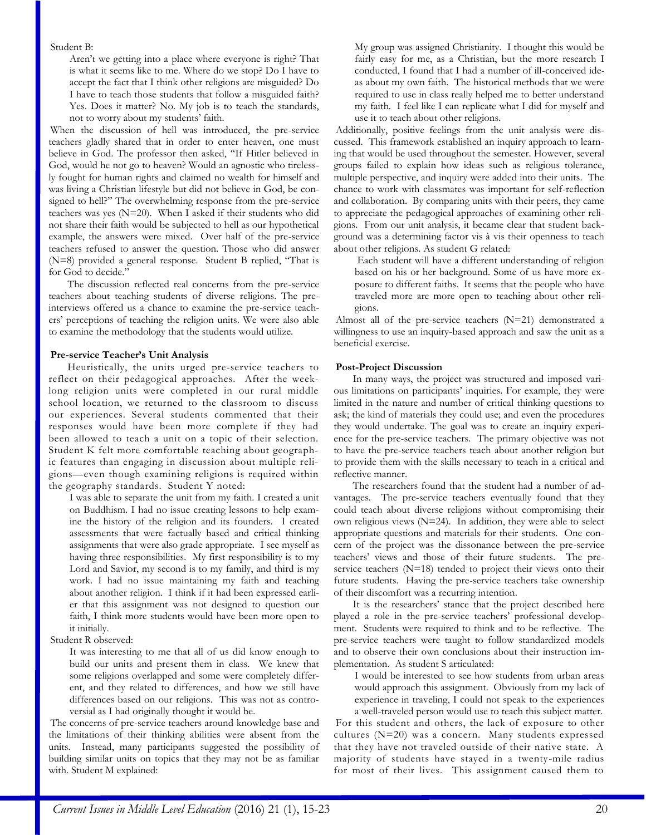## Student B:

Aren't we getting into a place where everyone is right? That is what it seems like to me. Where do we stop? Do I have to accept the fact that I think other religions are misguided? Do I have to teach those students that follow a misguided faith? Yes. Does it matter? No. My job is to teach the standards, not to worry about my students' faith.

When the discussion of hell was introduced, the pre-service teachers gladly shared that in order to enter heaven, one must believe in God. The professor then asked, "If Hitler believed in God, would he not go to heaven? Would an agnostic who tirelessly fought for human rights and claimed no wealth for himself and was living a Christian lifestyle but did not believe in God, be consigned to hell?" The overwhelming response from the pre-service teachers was yes (N=20). When I asked if their students who did not share their faith would be subjected to hell as our hypothetical example, the answers were mixed. Over half of the pre-service teachers refused to answer the question. Those who did answer (N=8) provided a general response. Student B replied, "That is for God to decide."

The discussion reflected real concerns from the pre-service teachers about teaching students of diverse religions. The preinterviews offered us a chance to examine the pre-service teachers' perceptions of teaching the religion units. We were also able to examine the methodology that the students would utilize.

## **Pre-service Teacher's Unit Analysis**

Heuristically, the units urged pre-service teachers to reflect on their pedagogical approaches. After the weeklong religion units were completed in our rural middle school location, we returned to the classroom to discuss our experiences. Several students commented that their responses would have been more complete if they had been allowed to teach a unit on a topic of their selection. Student K felt more comfortable teaching about geographic features than engaging in discussion about multiple religions—even though examining religions is required within the geography standards. Student Y noted:

I was able to separate the unit from my faith. I created a unit on Buddhism. I had no issue creating lessons to help examine the history of the religion and its founders. I created assessments that were factually based and critical thinking assignments that were also grade appropriate. I see myself as having three responsibilities. My first responsibility is to my Lord and Savior, my second is to my family, and third is my work. I had no issue maintaining my faith and teaching about another religion. I think if it had been expressed earlier that this assignment was not designed to question our faith, I think more students would have been more open to it initially.

Student R observed:

It was interesting to me that all of us did know enough to build our units and present them in class. We knew that some religions overlapped and some were completely different, and they related to differences, and how we still have differences based on our religions. This was not as controversial as I had originally thought it would be.

The concerns of pre-service teachers around knowledge base and the limitations of their thinking abilities were absent from the units. Instead, many participants suggested the possibility of building similar units on topics that they may not be as familiar with. Student M explained:

My group was assigned Christianity. I thought this would be fairly easy for me, as a Christian, but the more research I conducted, I found that I had a number of ill-conceived ideas about my own faith. The historical methods that we were required to use in class really helped me to better understand my faith. I feel like I can replicate what I did for myself and use it to teach about other religions.

Additionally, positive feelings from the unit analysis were discussed. This framework established an inquiry approach to learning that would be used throughout the semester. However, several groups failed to explain how ideas such as religious tolerance, multiple perspective, and inquiry were added into their units. The chance to work with classmates was important for self-reflection and collaboration. By comparing units with their peers, they came to appreciate the pedagogical approaches of examining other religions. From our unit analysis, it became clear that student background was a determining factor vis à vis their openness to teach about other religions. As student G related:

Each student will have a different understanding of religion based on his or her background. Some of us have more exposure to different faiths. It seems that the people who have traveled more are more open to teaching about other religions.

Almost all of the pre-service teachers (N=21) demonstrated a willingness to use an inquiry-based approach and saw the unit as a beneficial exercise.

## **Post-Project Discussion**

In many ways, the project was structured and imposed various limitations on participants' inquiries. For example, they were limited in the nature and number of critical thinking questions to ask; the kind of materials they could use; and even the procedures they would undertake. The goal was to create an inquiry experience for the pre-service teachers. The primary objective was not to have the pre-service teachers teach about another religion but to provide them with the skills necessary to teach in a critical and reflective manner.

The researchers found that the student had a number of advantages. The pre-service teachers eventually found that they could teach about diverse religions without compromising their own religious views (N=24). In addition, they were able to select appropriate questions and materials for their students. One concern of the project was the dissonance between the pre-service teachers' views and those of their future students. The preservice teachers (N=18) tended to project their views onto their future students. Having the pre-service teachers take ownership of their discomfort was a recurring intention.

It is the researchers' stance that the project described here played a role in the pre-service teachers' professional development. Students were required to think and to be reflective. The pre-service teachers were taught to follow standardized models and to observe their own conclusions about their instruction implementation. As student S articulated:

I would be interested to see how students from urban areas would approach this assignment. Obviously from my lack of experience in traveling, I could not speak to the experiences a well-traveled person would use to teach this subject matter.

For this student and others, the lack of exposure to other cultures (N=20) was a concern. Many students expressed that they have not traveled outside of their native state. A majority of students have stayed in a twenty-mile radius for most of their lives. This assignment caused them to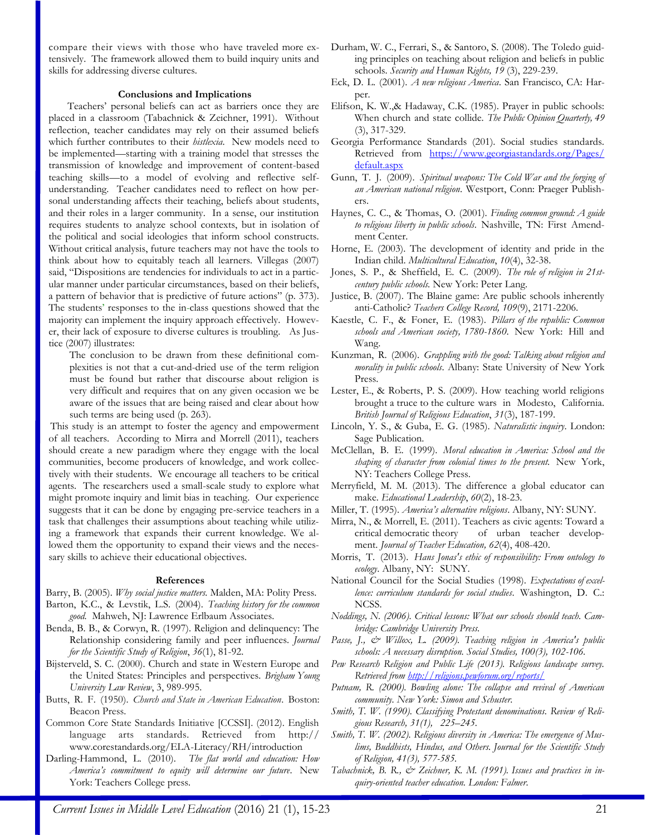compare their views with those who have traveled more extensively. The framework allowed them to build inquiry units and skills for addressing diverse cultures.

#### **Conclusions and Implications**

Teachers' personal beliefs can act as barriers once they are placed in a classroom (Tabachnick & Zeichner, 1991). Without reflection, teacher candidates may rely on their assumed beliefs which further contributes to their *histlexia*. New models need to be implemented—starting with a training model that stresses the transmission of knowledge and improvement of content-based teaching skills—to a model of evolving and reflective selfunderstanding. Teacher candidates need to reflect on how personal understanding affects their teaching, beliefs about students, and their roles in a larger community. In a sense, our institution requires students to analyze school contexts, but in isolation of the political and social ideologies that inform school constructs. Without critical analysis, future teachers may not have the tools to think about how to equitably teach all learners. Villegas (2007) said, "Dispositions are tendencies for individuals to act in a particular manner under particular circumstances, based on their beliefs, a pattern of behavior that is predictive of future actions" (p. 373). The students' responses to the in-class questions showed that the majority can implement the inquiry approach effectively. However, their lack of exposure to diverse cultures is troubling. As Justice (2007) illustrates:

The conclusion to be drawn from these definitional complexities is not that a cut-and-dried use of the term religion must be found but rather that discourse about religion is very difficult and requires that on any given occasion we be aware of the issues that are being raised and clear about how such terms are being used (p. 263).

This study is an attempt to foster the agency and empowerment of all teachers. According to Mirra and Morrell (2011), teachers should create a new paradigm where they engage with the local communities, become producers of knowledge, and work collectively with their students. We encourage all teachers to be critical agents. The researchers used a small-scale study to explore what might promote inquiry and limit bias in teaching. Our experience suggests that it can be done by engaging pre-service teachers in a task that challenges their assumptions about teaching while utilizing a framework that expands their current knowledge. We allowed them the opportunity to expand their views and the necessary skills to achieve their educational objectives.

#### **References**

- Barry, B. (2005). *Why social justice matters.* Malden, MA: Polity Press.
- Barton, K.C., & Levstik, L.S. (2004). *Teaching history for the common good.* Mahweh, NJ: Lawrence Erlbaum Associates.
- Benda, B. B., & Corwyn, R. (1997). Religion and delinquency: The Relationship considering family and peer influences. *Journal for the Scientific Study of Religion*, *36*(1), 81-92.
- Bijsterveld, S. C. (2000). Church and state in Western Europe and the United States: Principles and perspectives. *Brigham Young University Law Review*, 3, 989-995.
- Butts, R. F. (1950). *Church and State in American Education*. Boston: Beacon Press.
- Common Core State Standards Initiative [CCSSI]. (2012). English language arts standards. Retrieved from [http://](http://www.corestandards.org/ELA-Literacy/RH/introduction) [www.corestandards.org/ELA-Literacy/RH/introduction](http://www.corestandards.org/ELA-Literacy/RH/introduction)
- Darling-Hammond, L. (2010). *The flat world and education: How America's commitment to equity will determine our future*. New York: Teachers College press.
- Durham, W. C., Ferrari, S., & Santoro, S. (2008). The Toledo guiding principles on teaching about religion and beliefs in public schools. *Security and Human Rights, 19* (3), 229-239.
- Eck, D. L. (2001). *A new religious America*. San Francisco, CA: Harper.
- Elifson, K. W.,& Hadaway, C.K. (1985). Prayer in public schools: When church and state collide. *The Public Opinion Quarterly, 49* (3), 317-329.
- Georgia Performance Standards (201). Social studies standards. Retrieved from [https://www.georgiastandards.org/Pages/](https://www.georgiastandards.org/Pages/default.aspx) [default.aspx](https://www.georgiastandards.org/Pages/default.aspx)
- Gunn, T. J. (2009). *Spiritual weapons: The Cold War and the forging of an American national religion*. Westport, Conn: Praeger Publishers.
- Haynes, C. C., & Thomas, O. (2001). *Finding common ground: A guide to religious liberty in public schools*. Nashville, TN: First Amendment Center.
- Horne, E. (2003). The development of identity and pride in the Indian child. *Multicultural Education*, *10*(4), 32-38.
- Jones, S. P., & Sheffield, E. C. (2009). *The role of religion in 21stcentury public schools.* New York: Peter Lang.
- Justice, B. (2007). The Blaine game: Are public schools inherently anti-Catholic? *Teachers College Record, 109*(9), 2171-2206.
- Kaestle, C. F., & Foner, E. (1983). *Pillars of the republic: Common schools and American society, 1780-1860*. New York: Hill and Wang.
- Kunzman, R. (2006). *Grappling with the good: Talking about religion and morality in public schools*. Albany: State University of New York Press.
- Lester, E., & Roberts, P. S. (2009). How teaching world religions brought a truce to the culture wars in Modesto, California. *British Journal of Religious Education*, *31*(3), 187-199.
- Lincoln, Y. S., & Guba, E. G. (1985). *Naturalistic inquiry*. London: Sage Publication.
- McClellan, B. E. (1999). *Moral education in America: School and the shaping of character from colonial times to the present.* New York, NY: Teachers College Press.
- Merryfield, M. M. (2013). The difference a global educator can make. *Educational Leadership*, *60*(2), 18-23.
- Miller, T. (1995). *America's alternative religions*. Albany, NY: SUNY.
- Mirra, N., & Morrell, E. (2011). Teachers as civic agents: Toward a critical democratic theory of urban teacher development. *Journal of Teacher Education, 62*(4), 408-420.
- Morris, T. (2013). *Hans Jonas's ethic of responsibility: From ontology to ecology*. Albany, NY: SUNY.
- National Council for the Social Studies (1998). *Expectations of excellence: curriculum standards for social studies*. Washington, D. C.: NCSS.
- *Noddings, N. (2006). Critical lessons: What our schools should teach. Cambridge: Cambridge University Press.*
- *Passe, J., & Willox, L. (2009). Teaching religion in America's public schools: A necessary disruption. Social Studies, 100(3), 102-106.*
- *Pew Research Religion and Public Life (2013). Religious landscape survey. Retrieved from<http://religions.pewforum.org/reports/>*
- *Putnam, R. (2000). Bowling alone: The collapse and revival of American community. New York: Simon and Schuster.*
- *Smith, T. W. (1990). Classifying Protestant denominations. Review of Religious Research, 31(1), 225–245.*
- *Smith, T. W. (2002). Religious diversity in America: The emergence of Muslims, Buddhists, Hindus, and Others. Journal for the Scientific Study of Religion, 41(3), 577-585.*
- *Tabachnick, B. R., & Zeichner, K. M. (1991). Issues and practices in inquiry-oriented teacher education. London: Falmer.*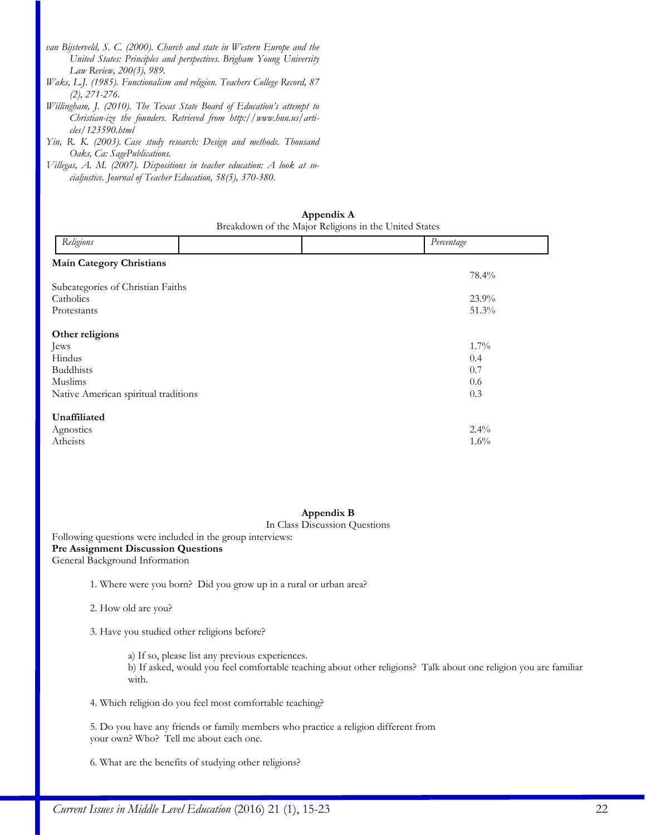- *van Bijsterveld, S. C. (2000). Church and state in Western Europe and the United States: Principles and perspectives. Brigham Young University Law Review, 200(3), 989.*
- *Waks, L.J. (1985). Functionalism and religion. Teachers College Record, 87 (2), 271-276.*
- *Willingham, J. (2010). The Texas State Board of Education's attempt to Christian-ize the founders. Retrieved from http://www.hnn.us/articles/123590.html*
- *Yin, R. K. (2003). Case study research: Design and methods. Thousand Oaks, Ca: SagePublications.*
- *Villegas, A. M. (2007). Dispositions in teacher education: A look at socialjustice. Journal of Teacher Education, 58(5), 370-380.*

| Appendix A                                            |  |  |  |  |
|-------------------------------------------------------|--|--|--|--|
| Breakdown of the Major Religions in the United States |  |  |  |  |

| Religions                            |  |  | Percentage |
|--------------------------------------|--|--|------------|
| <b>Main Category Christians</b>      |  |  |            |
|                                      |  |  | 78.4%      |
| Subcategories of Christian Faiths    |  |  |            |
| Catholics                            |  |  | $23.9\%$   |
| Protestants                          |  |  | 51.3%      |
| Other religions                      |  |  |            |
| Jews                                 |  |  | $1.7\%$    |
| Hindus                               |  |  | 0.4        |
| <b>Buddhists</b>                     |  |  | 0.7        |
| Muslims                              |  |  | 0.6        |
| Native American spiritual traditions |  |  | 0.3        |
| Unaffiliated                         |  |  |            |
| Agnostics                            |  |  | $2.4\%$    |
| Atheists                             |  |  | $1.6\%$    |

# **Appendix B**

## In Class Discussion Questions

Following questions were included in the group interviews: **Pre Assignment Discussion Questions** General Background Information

1. Where were you born? Did you grow up in a rural or urban area?

2. How old are you?

3. Have you studied other religions before?

a) If so, please list any previous experiences.

b) If asked, would you feel comfortable teaching about other religions? Talk about one religion you are familiar with.

4. Which religion do you feel most comfortable teaching?

5. Do you have any friends or family members who practice a religion different from your own? Who? Tell me about each one.

6. What are the benefits of studying other religions?